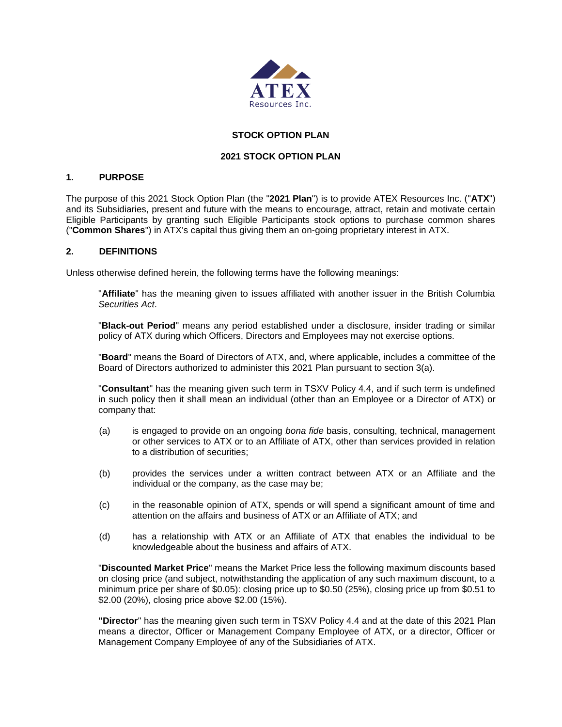

# **STOCK OPTION PLAN**

## **2021 STOCK OPTION PLAN**

## **1. PURPOSE**

The purpose of this 2021 Stock Option Plan (the "**2021 Plan**") is to provide ATEX Resources Inc. ("**ATX**") and its Subsidiaries, present and future with the means to encourage, attract, retain and motivate certain Eligible Participants by granting such Eligible Participants stock options to purchase common shares ("**Common Shares**") in ATX's capital thus giving them an on-going proprietary interest in ATX.

## **2. DEFINITIONS**

Unless otherwise defined herein, the following terms have the following meanings:

"**Affiliate**" has the meaning given to issues affiliated with another issuer in the British Columbia *Securities Act*.

"**Black-out Period**" means any period established under a disclosure, insider trading or similar policy of ATX during which Officers, Directors and Employees may not exercise options.

"**Board**" means the Board of Directors of ATX, and, where applicable, includes a committee of the Board of Directors authorized to administer this 2021 Plan pursuant to section 3(a).

"**Consultant**" has the meaning given such term in TSXV Policy 4.4, and if such term is undefined in such policy then it shall mean an individual (other than an Employee or a Director of ATX) or company that:

- (a) is engaged to provide on an ongoing *bona fide* basis, consulting, technical, management or other services to ATX or to an Affiliate of ATX, other than services provided in relation to a distribution of securities;
- (b) provides the services under a written contract between ATX or an Affiliate and the individual or the company, as the case may be;
- (c) in the reasonable opinion of ATX, spends or will spend a significant amount of time and attention on the affairs and business of ATX or an Affiliate of ATX; and
- (d) has a relationship with ATX or an Affiliate of ATX that enables the individual to be knowledgeable about the business and affairs of ATX.

"**Discounted Market Price**" means the Market Price less the following maximum discounts based on closing price (and subject, notwithstanding the application of any such maximum discount, to a minimum price per share of \$0.05): closing price up to \$0.50 (25%), closing price up from \$0.51 to \$2.00 (20%), closing price above \$2.00 (15%).

**"Director**" has the meaning given such term in TSXV Policy 4.4 and at the date of this 2021 Plan means a director, Officer or Management Company Employee of ATX, or a director, Officer or Management Company Employee of any of the Subsidiaries of ATX.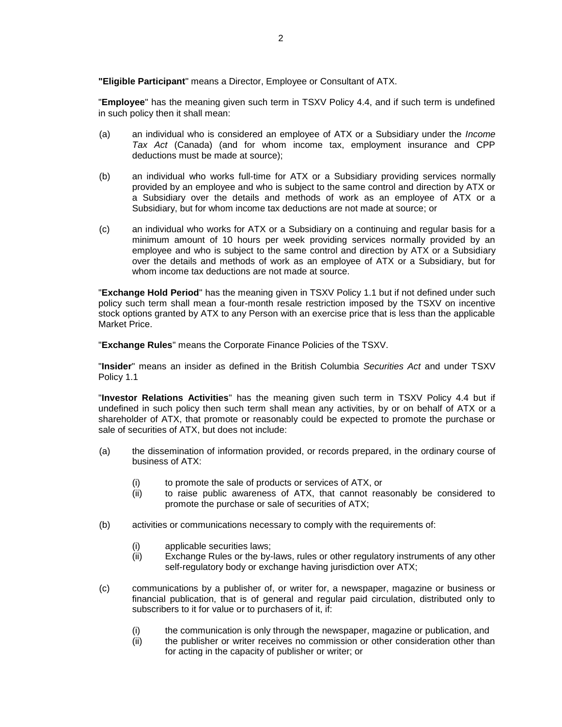**"Eligible Participant**" means a Director, Employee or Consultant of ATX.

"**Employee**" has the meaning given such term in TSXV Policy 4.4, and if such term is undefined in such policy then it shall mean:

- (a) an individual who is considered an employee of ATX or a Subsidiary under the *Income Tax Act* (Canada) (and for whom income tax, employment insurance and CPP deductions must be made at source);
- (b) an individual who works full-time for ATX or a Subsidiary providing services normally provided by an employee and who is subject to the same control and direction by ATX or a Subsidiary over the details and methods of work as an employee of ATX or a Subsidiary, but for whom income tax deductions are not made at source; or
- (c) an individual who works for ATX or a Subsidiary on a continuing and regular basis for a minimum amount of 10 hours per week providing services normally provided by an employee and who is subject to the same control and direction by ATX or a Subsidiary over the details and methods of work as an employee of ATX or a Subsidiary, but for whom income tax deductions are not made at source.

"**Exchange Hold Period**" has the meaning given in TSXV Policy 1.1 but if not defined under such policy such term shall mean a four-month resale restriction imposed by the TSXV on incentive stock options granted by ATX to any Person with an exercise price that is less than the applicable Market Price.

"**Exchange Rules**" means the Corporate Finance Policies of the TSXV.

"**Insider**" means an insider as defined in the British Columbia *Securities Act* and under TSXV Policy 1.1

"**Investor Relations Activities**" has the meaning given such term in TSXV Policy 4.4 but if undefined in such policy then such term shall mean any activities, by or on behalf of ATX or a shareholder of ATX, that promote or reasonably could be expected to promote the purchase or sale of securities of ATX, but does not include:

- (a) the dissemination of information provided, or records prepared, in the ordinary course of business of ATX:
	- (i) to promote the sale of products or services of ATX, or
	- (ii) to raise public awareness of ATX, that cannot reasonably be considered to promote the purchase or sale of securities of ATX;
- (b) activities or communications necessary to comply with the requirements of:
	- (i) applicable securities laws;
	- (ii) Exchange Rules or the by-laws, rules or other regulatory instruments of any other self-regulatory body or exchange having jurisdiction over ATX;
- (c) communications by a publisher of, or writer for, a newspaper, magazine or business or financial publication, that is of general and regular paid circulation, distributed only to subscribers to it for value or to purchasers of it, if:
	- (i) the communication is only through the newspaper, magazine or publication, and
	- (ii) the publisher or writer receives no commission or other consideration other than for acting in the capacity of publisher or writer; or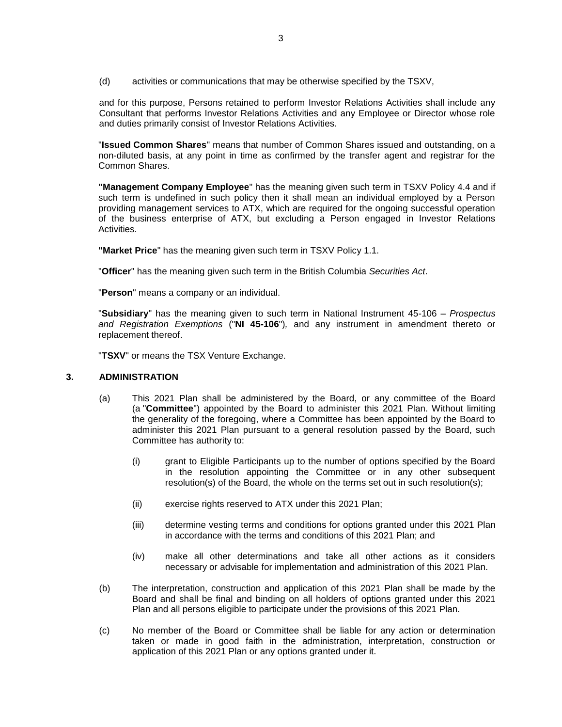(d) activities or communications that may be otherwise specified by the TSXV,

and for this purpose, Persons retained to perform Investor Relations Activities shall include any Consultant that performs Investor Relations Activities and any Employee or Director whose role and duties primarily consist of Investor Relations Activities.

"**Issued Common Shares**" means that number of Common Shares issued and outstanding, on a non-diluted basis, at any point in time as confirmed by the transfer agent and registrar for the Common Shares.

**"Management Company Employee**" has the meaning given such term in TSXV Policy 4.4 and if such term is undefined in such policy then it shall mean an individual employed by a Person providing management services to ATX, which are required for the ongoing successful operation of the business enterprise of ATX, but excluding a Person engaged in Investor Relations Activities.

**"Market Price**" has the meaning given such term in TSXV Policy 1.1.

"**Officer**" has the meaning given such term in the British Columbia *Securities Act*.

"**Person**" means a company or an individual.

"**Subsidiary**" has the meaning given to such term in National Instrument 45-106 – *Prospectus and Registration Exemptions* ("**NI 45-106**")*,* and any instrument in amendment thereto or replacement thereof.

"**TSXV**" or means the TSX Venture Exchange.

## **3. ADMINISTRATION**

- (a) This 2021 Plan shall be administered by the Board, or any committee of the Board (a "**Committee**") appointed by the Board to administer this 2021 Plan. Without limiting the generality of the foregoing, where a Committee has been appointed by the Board to administer this 2021 Plan pursuant to a general resolution passed by the Board, such Committee has authority to:
	- (i) grant to Eligible Participants up to the number of options specified by the Board in the resolution appointing the Committee or in any other subsequent resolution(s) of the Board, the whole on the terms set out in such resolution(s);
	- (ii) exercise rights reserved to ATX under this 2021 Plan;
	- (iii) determine vesting terms and conditions for options granted under this 2021 Plan in accordance with the terms and conditions of this 2021 Plan; and
	- (iv) make all other determinations and take all other actions as it considers necessary or advisable for implementation and administration of this 2021 Plan.
- (b) The interpretation, construction and application of this 2021 Plan shall be made by the Board and shall be final and binding on all holders of options granted under this 2021 Plan and all persons eligible to participate under the provisions of this 2021 Plan.
- (c) No member of the Board or Committee shall be liable for any action or determination taken or made in good faith in the administration, interpretation, construction or application of this 2021 Plan or any options granted under it.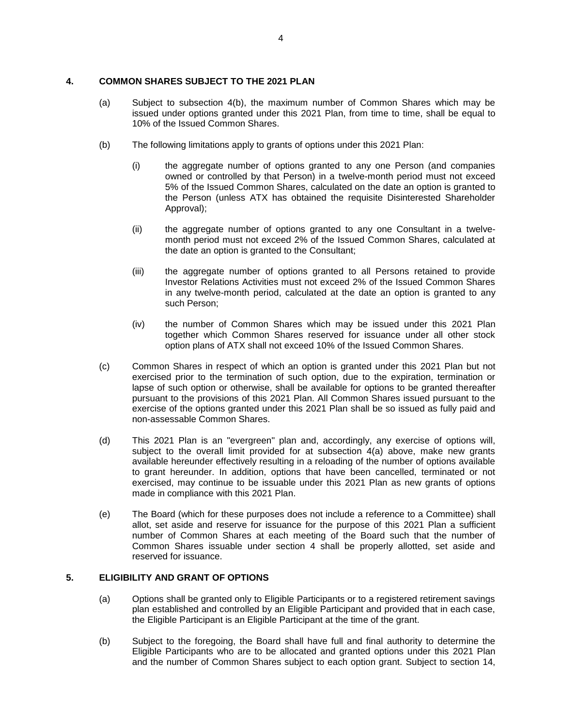## **4. COMMON SHARES SUBJECT TO THE 2021 PLAN**

- (a) Subject to subsection 4(b), the maximum number of Common Shares which may be issued under options granted under this 2021 Plan, from time to time, shall be equal to 10% of the Issued Common Shares.
- (b) The following limitations apply to grants of options under this 2021 Plan:
	- (i) the aggregate number of options granted to any one Person (and companies owned or controlled by that Person) in a twelve-month period must not exceed 5% of the Issued Common Shares, calculated on the date an option is granted to the Person (unless ATX has obtained the requisite Disinterested Shareholder Approval);
	- (ii) the aggregate number of options granted to any one Consultant in a twelvemonth period must not exceed 2% of the Issued Common Shares, calculated at the date an option is granted to the Consultant;
	- (iii) the aggregate number of options granted to all Persons retained to provide Investor Relations Activities must not exceed 2% of the Issued Common Shares in any twelve-month period, calculated at the date an option is granted to any such Person;
	- (iv) the number of Common Shares which may be issued under this 2021 Plan together which Common Shares reserved for issuance under all other stock option plans of ATX shall not exceed 10% of the Issued Common Shares.
- (c) Common Shares in respect of which an option is granted under this 2021 Plan but not exercised prior to the termination of such option, due to the expiration, termination or lapse of such option or otherwise, shall be available for options to be granted thereafter pursuant to the provisions of this 2021 Plan. All Common Shares issued pursuant to the exercise of the options granted under this 2021 Plan shall be so issued as fully paid and non-assessable Common Shares.
- (d) This 2021 Plan is an "evergreen" plan and, accordingly, any exercise of options will, subject to the overall limit provided for at subsection 4(a) above, make new grants available hereunder effectively resulting in a reloading of the number of options available to grant hereunder. In addition, options that have been cancelled, terminated or not exercised, may continue to be issuable under this 2021 Plan as new grants of options made in compliance with this 2021 Plan.
- (e) The Board (which for these purposes does not include a reference to a Committee) shall allot, set aside and reserve for issuance for the purpose of this 2021 Plan a sufficient number of Common Shares at each meeting of the Board such that the number of Common Shares issuable under section 4 shall be properly allotted, set aside and reserved for issuance.

## **5. ELIGIBILITY AND GRANT OF OPTIONS**

- (a) Options shall be granted only to Eligible Participants or to a registered retirement savings plan established and controlled by an Eligible Participant and provided that in each case, the Eligible Participant is an Eligible Participant at the time of the grant.
- (b) Subject to the foregoing, the Board shall have full and final authority to determine the Eligible Participants who are to be allocated and granted options under this 2021 Plan and the number of Common Shares subject to each option grant. Subject to section 14,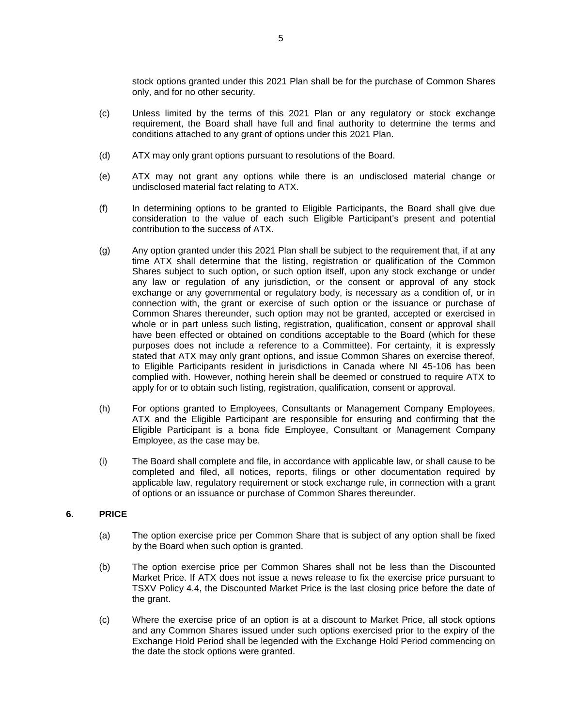stock options granted under this 2021 Plan shall be for the purchase of Common Shares only, and for no other security.

- (c) Unless limited by the terms of this 2021 Plan or any regulatory or stock exchange requirement, the Board shall have full and final authority to determine the terms and conditions attached to any grant of options under this 2021 Plan.
- (d) ATX may only grant options pursuant to resolutions of the Board.
- (e) ATX may not grant any options while there is an undisclosed material change or undisclosed material fact relating to ATX.
- (f) In determining options to be granted to Eligible Participants, the Board shall give due consideration to the value of each such Eligible Participant's present and potential contribution to the success of ATX.
- (g) Any option granted under this 2021 Plan shall be subject to the requirement that, if at any time ATX shall determine that the listing, registration or qualification of the Common Shares subject to such option, or such option itself, upon any stock exchange or under any law or regulation of any jurisdiction, or the consent or approval of any stock exchange or any governmental or regulatory body, is necessary as a condition of, or in connection with, the grant or exercise of such option or the issuance or purchase of Common Shares thereunder, such option may not be granted, accepted or exercised in whole or in part unless such listing, registration, qualification, consent or approval shall have been effected or obtained on conditions acceptable to the Board (which for these purposes does not include a reference to a Committee). For certainty, it is expressly stated that ATX may only grant options, and issue Common Shares on exercise thereof, to Eligible Participants resident in jurisdictions in Canada where NI 45-106 has been complied with. However, nothing herein shall be deemed or construed to require ATX to apply for or to obtain such listing, registration, qualification, consent or approval.
- (h) For options granted to Employees, Consultants or Management Company Employees, ATX and the Eligible Participant are responsible for ensuring and confirming that the Eligible Participant is a bona fide Employee, Consultant or Management Company Employee, as the case may be.
- (i) The Board shall complete and file, in accordance with applicable law, or shall cause to be completed and filed, all notices, reports, filings or other documentation required by applicable law, regulatory requirement or stock exchange rule, in connection with a grant of options or an issuance or purchase of Common Shares thereunder.

## **6. PRICE**

- (a) The option exercise price per Common Share that is subject of any option shall be fixed by the Board when such option is granted.
- (b) The option exercise price per Common Shares shall not be less than the Discounted Market Price. If ATX does not issue a news release to fix the exercise price pursuant to TSXV Policy 4.4, the Discounted Market Price is the last closing price before the date of the grant.
- (c) Where the exercise price of an option is at a discount to Market Price, all stock options and any Common Shares issued under such options exercised prior to the expiry of the Exchange Hold Period shall be legended with the Exchange Hold Period commencing on the date the stock options were granted.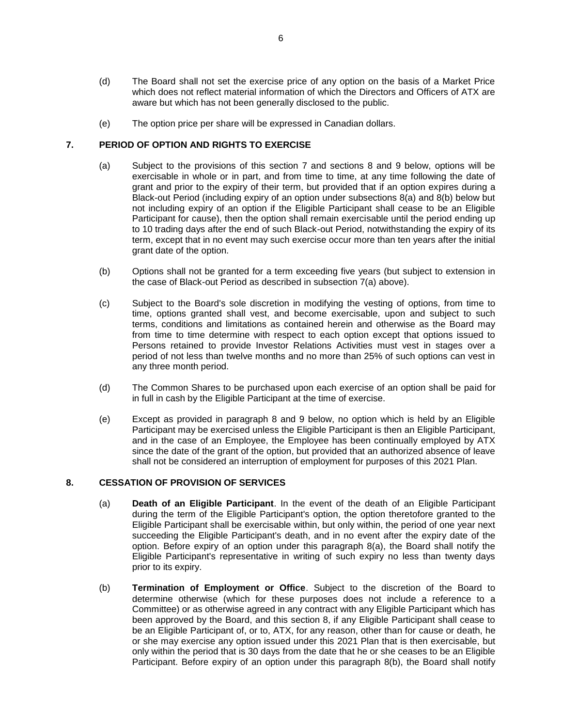- (d) The Board shall not set the exercise price of any option on the basis of a Market Price which does not reflect material information of which the Directors and Officers of ATX are aware but which has not been generally disclosed to the public.
- (e) The option price per share will be expressed in Canadian dollars.

## **7. PERIOD OF OPTION AND RIGHTS TO EXERCISE**

- (a) Subject to the provisions of this section 7 and sections 8 and 9 below, options will be exercisable in whole or in part, and from time to time, at any time following the date of grant and prior to the expiry of their term, but provided that if an option expires during a Black-out Period (including expiry of an option under subsections 8(a) and 8(b) below but not including expiry of an option if the Eligible Participant shall cease to be an Eligible Participant for cause), then the option shall remain exercisable until the period ending up to 10 trading days after the end of such Black-out Period, notwithstanding the expiry of its term, except that in no event may such exercise occur more than ten years after the initial grant date of the option.
- (b) Options shall not be granted for a term exceeding five years (but subject to extension in the case of Black-out Period as described in subsection 7(a) above).
- (c) Subject to the Board's sole discretion in modifying the vesting of options, from time to time, options granted shall vest, and become exercisable, upon and subject to such terms, conditions and limitations as contained herein and otherwise as the Board may from time to time determine with respect to each option except that options issued to Persons retained to provide Investor Relations Activities must vest in stages over a period of not less than twelve months and no more than 25% of such options can vest in any three month period.
- (d) The Common Shares to be purchased upon each exercise of an option shall be paid for in full in cash by the Eligible Participant at the time of exercise.
- (e) Except as provided in paragraph 8 and 9 below, no option which is held by an Eligible Participant may be exercised unless the Eligible Participant is then an Eligible Participant, and in the case of an Employee, the Employee has been continually employed by ATX since the date of the grant of the option, but provided that an authorized absence of leave shall not be considered an interruption of employment for purposes of this 2021 Plan.

## **8. CESSATION OF PROVISION OF SERVICES**

- (a) **Death of an Eligible Participant**. In the event of the death of an Eligible Participant during the term of the Eligible Participant's option, the option theretofore granted to the Eligible Participant shall be exercisable within, but only within, the period of one year next succeeding the Eligible Participant's death, and in no event after the expiry date of the option. Before expiry of an option under this paragraph 8(a), the Board shall notify the Eligible Participant's representative in writing of such expiry no less than twenty days prior to its expiry.
- (b) **Termination of Employment or Office**. Subject to the discretion of the Board to determine otherwise (which for these purposes does not include a reference to a Committee) or as otherwise agreed in any contract with any Eligible Participant which has been approved by the Board, and this section 8, if any Eligible Participant shall cease to be an Eligible Participant of, or to, ATX, for any reason, other than for cause or death, he or she may exercise any option issued under this 2021 Plan that is then exercisable, but only within the period that is 30 days from the date that he or she ceases to be an Eligible Participant. Before expiry of an option under this paragraph 8(b), the Board shall notify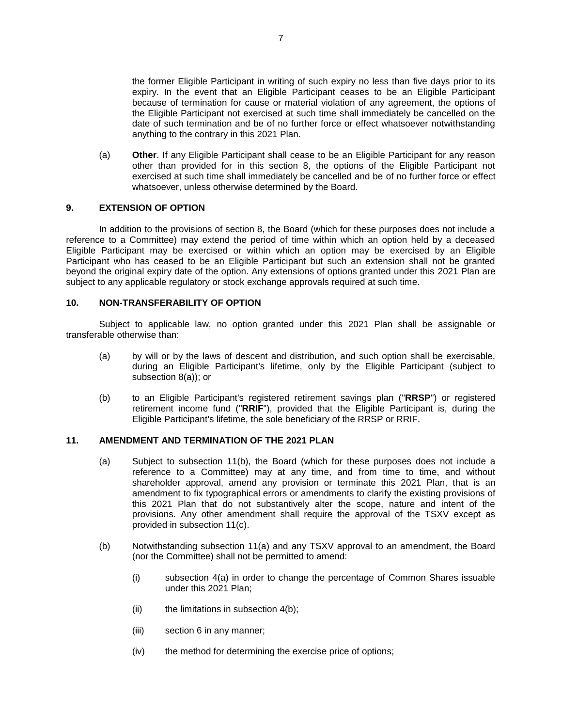the former Eligible Participant in writing of such expiry no less than five days prior to its expiry. In the event that an Eligible Participant ceases to be an Eligible Participant because of termination for cause or material violation of any agreement, the options of the Eligible Participant not exercised at such time shall immediately be cancelled on the date of such termination and be of no further force or effect whatsoever notwithstanding anything to the contrary in this 2021 Plan.

(a) **Other**. If any Eligible Participant shall cease to be an Eligible Participant for any reason other than provided for in this section 8, the options of the Eligible Participant not exercised at such time shall immediately be cancelled and be of no further force or effect whatsoever, unless otherwise determined by the Board.

## **9. EXTENSION OF OPTION**

In addition to the provisions of section 8, the Board (which for these purposes does not include a reference to a Committee) may extend the period of time within which an option held by a deceased Eligible Participant may be exercised or within which an option may be exercised by an Eligible Participant who has ceased to be an Eligible Participant but such an extension shall not be granted beyond the original expiry date of the option. Any extensions of options granted under this 2021 Plan are subject to any applicable regulatory or stock exchange approvals required at such time.

#### **10. NON-TRANSFERABILITY OF OPTION**

Subject to applicable law, no option granted under this 2021 Plan shall be assignable or transferable otherwise than:

- (a) by will or by the laws of descent and distribution, and such option shall be exercisable, during an Eligible Participant's lifetime, only by the Eligible Participant (subject to subsection 8(a)); or
- (b) to an Eligible Participant's registered retirement savings plan ("**RRSP**") or registered retirement income fund ("**RRIF**"), provided that the Eligible Participant is, during the Eligible Participant's lifetime, the sole beneficiary of the RRSP or RRIF.

## **11. AMENDMENT AND TERMINATION OF THE 2021 PLAN**

- (a) Subject to subsection 11(b), the Board (which for these purposes does not include a reference to a Committee) may at any time, and from time to time, and without shareholder approval, amend any provision or terminate this 2021 Plan, that is an amendment to fix typographical errors or amendments to clarify the existing provisions of this 2021 Plan that do not substantively alter the scope, nature and intent of the provisions. Any other amendment shall require the approval of the TSXV except as provided in subsection 11(c).
- (b) Notwithstanding subsection 11(a) and any TSXV approval to an amendment, the Board (nor the Committee) shall not be permitted to amend:
	- (i) subsection 4(a) in order to change the percentage of Common Shares issuable under this 2021 Plan;
	- (ii) the limitations in subsection  $4(b)$ ;
	- (iii) section 6 in any manner;
	- (iv) the method for determining the exercise price of options;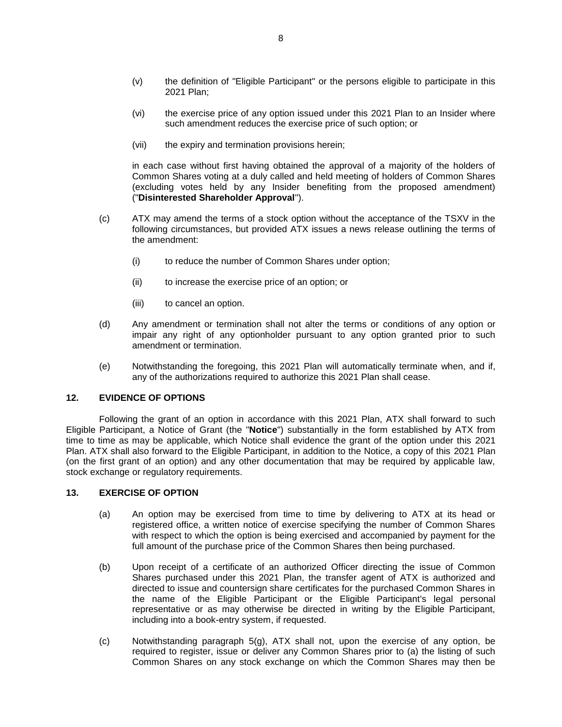- (v) the definition of "Eligible Participant" or the persons eligible to participate in this 2021 Plan;
- (vi) the exercise price of any option issued under this 2021 Plan to an Insider where such amendment reduces the exercise price of such option; or
- (vii) the expiry and termination provisions herein;

in each case without first having obtained the approval of a majority of the holders of Common Shares voting at a duly called and held meeting of holders of Common Shares (excluding votes held by any Insider benefiting from the proposed amendment) ("**Disinterested Shareholder Approval**").

- (c) ATX may amend the terms of a stock option without the acceptance of the TSXV in the following circumstances, but provided ATX issues a news release outlining the terms of the amendment:
	- (i) to reduce the number of Common Shares under option;
	- (ii) to increase the exercise price of an option; or
	- (iii) to cancel an option.
- (d) Any amendment or termination shall not alter the terms or conditions of any option or impair any right of any optionholder pursuant to any option granted prior to such amendment or termination.
- (e) Notwithstanding the foregoing, this 2021 Plan will automatically terminate when, and if, any of the authorizations required to authorize this 2021 Plan shall cease.

## **12. EVIDENCE OF OPTIONS**

Following the grant of an option in accordance with this 2021 Plan, ATX shall forward to such Eligible Participant, a Notice of Grant (the "**Notice**") substantially in the form established by ATX from time to time as may be applicable, which Notice shall evidence the grant of the option under this 2021 Plan. ATX shall also forward to the Eligible Participant, in addition to the Notice, a copy of this 2021 Plan (on the first grant of an option) and any other documentation that may be required by applicable law, stock exchange or regulatory requirements.

#### **13. EXERCISE OF OPTION**

- (a) An option may be exercised from time to time by delivering to ATX at its head or registered office, a written notice of exercise specifying the number of Common Shares with respect to which the option is being exercised and accompanied by payment for the full amount of the purchase price of the Common Shares then being purchased.
- (b) Upon receipt of a certificate of an authorized Officer directing the issue of Common Shares purchased under this 2021 Plan, the transfer agent of ATX is authorized and directed to issue and countersign share certificates for the purchased Common Shares in the name of the Eligible Participant or the Eligible Participant's legal personal representative or as may otherwise be directed in writing by the Eligible Participant, including into a book-entry system, if requested.
- (c) Notwithstanding paragraph 5(g), ATX shall not, upon the exercise of any option, be required to register, issue or deliver any Common Shares prior to (a) the listing of such Common Shares on any stock exchange on which the Common Shares may then be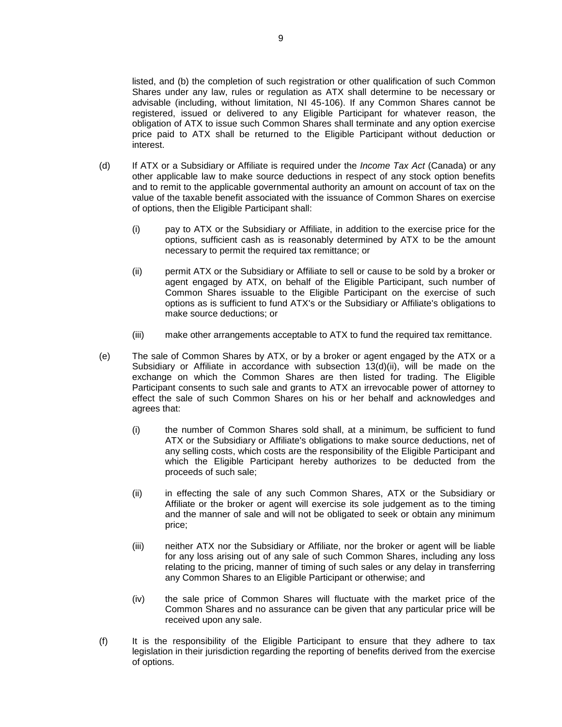listed, and (b) the completion of such registration or other qualification of such Common Shares under any law, rules or regulation as ATX shall determine to be necessary or advisable (including, without limitation, NI 45-106). If any Common Shares cannot be registered, issued or delivered to any Eligible Participant for whatever reason, the obligation of ATX to issue such Common Shares shall terminate and any option exercise price paid to ATX shall be returned to the Eligible Participant without deduction or interest.

- (d) If ATX or a Subsidiary or Affiliate is required under the *Income Tax Act* (Canada) or any other applicable law to make source deductions in respect of any stock option benefits and to remit to the applicable governmental authority an amount on account of tax on the value of the taxable benefit associated with the issuance of Common Shares on exercise of options, then the Eligible Participant shall:
	- (i) pay to ATX or the Subsidiary or Affiliate, in addition to the exercise price for the options, sufficient cash as is reasonably determined by ATX to be the amount necessary to permit the required tax remittance; or
	- (ii) permit ATX or the Subsidiary or Affiliate to sell or cause to be sold by a broker or agent engaged by ATX, on behalf of the Eligible Participant, such number of Common Shares issuable to the Eligible Participant on the exercise of such options as is sufficient to fund ATX's or the Subsidiary or Affiliate's obligations to make source deductions; or
	- (iii) make other arrangements acceptable to ATX to fund the required tax remittance.
- (e) The sale of Common Shares by ATX, or by a broker or agent engaged by the ATX or a Subsidiary or Affiliate in accordance with subsection 13(d)(ii), will be made on the exchange on which the Common Shares are then listed for trading. The Eligible Participant consents to such sale and grants to ATX an irrevocable power of attorney to effect the sale of such Common Shares on his or her behalf and acknowledges and agrees that:
	- (i) the number of Common Shares sold shall, at a minimum, be sufficient to fund ATX or the Subsidiary or Affiliate's obligations to make source deductions, net of any selling costs, which costs are the responsibility of the Eligible Participant and which the Eligible Participant hereby authorizes to be deducted from the proceeds of such sale;
	- (ii) in effecting the sale of any such Common Shares, ATX or the Subsidiary or Affiliate or the broker or agent will exercise its sole judgement as to the timing and the manner of sale and will not be obligated to seek or obtain any minimum price;
	- (iii) neither ATX nor the Subsidiary or Affiliate, nor the broker or agent will be liable for any loss arising out of any sale of such Common Shares, including any loss relating to the pricing, manner of timing of such sales or any delay in transferring any Common Shares to an Eligible Participant or otherwise; and
	- (iv) the sale price of Common Shares will fluctuate with the market price of the Common Shares and no assurance can be given that any particular price will be received upon any sale.
- (f) It is the responsibility of the Eligible Participant to ensure that they adhere to tax legislation in their jurisdiction regarding the reporting of benefits derived from the exercise of options.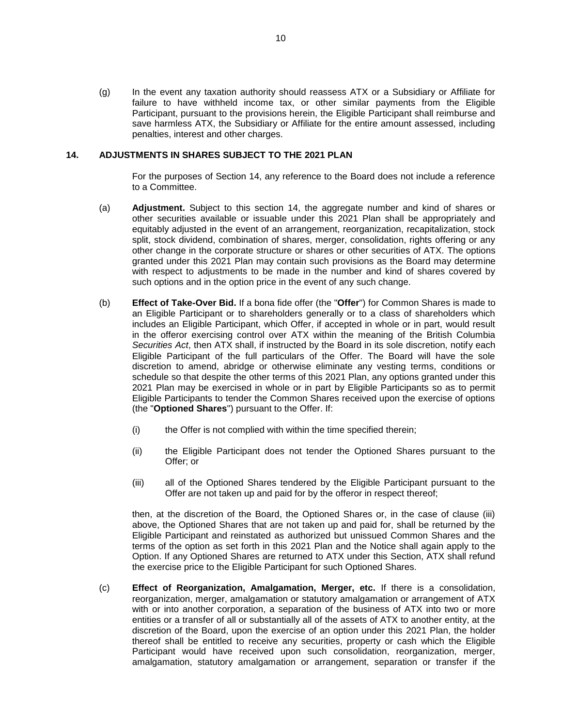(g) In the event any taxation authority should reassess ATX or a Subsidiary or Affiliate for failure to have withheld income tax, or other similar payments from the Eligible Participant, pursuant to the provisions herein, the Eligible Participant shall reimburse and save harmless ATX, the Subsidiary or Affiliate for the entire amount assessed, including penalties, interest and other charges.

#### **14. ADJUSTMENTS IN SHARES SUBJECT TO THE 2021 PLAN**

For the purposes of Section 14, any reference to the Board does not include a reference to a Committee.

- (a) **Adjustment.** Subject to this section 14, the aggregate number and kind of shares or other securities available or issuable under this 2021 Plan shall be appropriately and equitably adjusted in the event of an arrangement, reorganization, recapitalization, stock split, stock dividend, combination of shares, merger, consolidation, rights offering or any other change in the corporate structure or shares or other securities of ATX. The options granted under this 2021 Plan may contain such provisions as the Board may determine with respect to adjustments to be made in the number and kind of shares covered by such options and in the option price in the event of any such change.
- (b) **Effect of Take-Over Bid.** If a bona fide offer (the "**Offer**") for Common Shares is made to an Eligible Participant or to shareholders generally or to a class of shareholders which includes an Eligible Participant, which Offer, if accepted in whole or in part, would result in the offeror exercising control over ATX within the meaning of the British Columbia *Securities Act*, then ATX shall, if instructed by the Board in its sole discretion, notify each Eligible Participant of the full particulars of the Offer. The Board will have the sole discretion to amend, abridge or otherwise eliminate any vesting terms, conditions or schedule so that despite the other terms of this 2021 Plan, any options granted under this 2021 Plan may be exercised in whole or in part by Eligible Participants so as to permit Eligible Participants to tender the Common Shares received upon the exercise of options (the "**Optioned Shares**") pursuant to the Offer. If:
	- (i) the Offer is not complied with within the time specified therein;
	- (ii) the Eligible Participant does not tender the Optioned Shares pursuant to the Offer; or
	- (iii) all of the Optioned Shares tendered by the Eligible Participant pursuant to the Offer are not taken up and paid for by the offeror in respect thereof;

then, at the discretion of the Board, the Optioned Shares or, in the case of clause (iii) above, the Optioned Shares that are not taken up and paid for, shall be returned by the Eligible Participant and reinstated as authorized but unissued Common Shares and the terms of the option as set forth in this 2021 Plan and the Notice shall again apply to the Option. If any Optioned Shares are returned to ATX under this Section, ATX shall refund the exercise price to the Eligible Participant for such Optioned Shares.

(c) **Effect of Reorganization, Amalgamation, Merger, etc.** If there is a consolidation, reorganization, merger, amalgamation or statutory amalgamation or arrangement of ATX with or into another corporation, a separation of the business of ATX into two or more entities or a transfer of all or substantially all of the assets of ATX to another entity, at the discretion of the Board, upon the exercise of an option under this 2021 Plan, the holder thereof shall be entitled to receive any securities, property or cash which the Eligible Participant would have received upon such consolidation, reorganization, merger, amalgamation, statutory amalgamation or arrangement, separation or transfer if the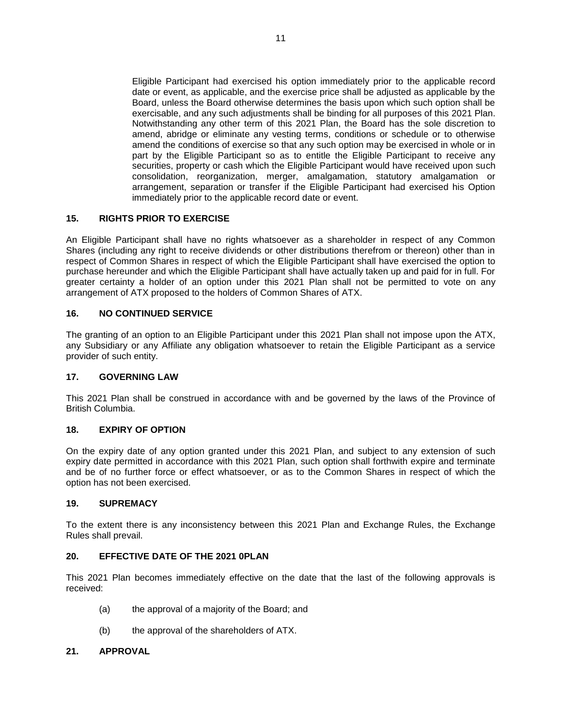Eligible Participant had exercised his option immediately prior to the applicable record date or event, as applicable, and the exercise price shall be adjusted as applicable by the Board, unless the Board otherwise determines the basis upon which such option shall be exercisable, and any such adjustments shall be binding for all purposes of this 2021 Plan. Notwithstanding any other term of this 2021 Plan, the Board has the sole discretion to amend, abridge or eliminate any vesting terms, conditions or schedule or to otherwise amend the conditions of exercise so that any such option may be exercised in whole or in part by the Eligible Participant so as to entitle the Eligible Participant to receive any securities, property or cash which the Eligible Participant would have received upon such consolidation, reorganization, merger, amalgamation, statutory amalgamation or arrangement, separation or transfer if the Eligible Participant had exercised his Option immediately prior to the applicable record date or event.

## **15. RIGHTS PRIOR TO EXERCISE**

An Eligible Participant shall have no rights whatsoever as a shareholder in respect of any Common Shares (including any right to receive dividends or other distributions therefrom or thereon) other than in respect of Common Shares in respect of which the Eligible Participant shall have exercised the option to purchase hereunder and which the Eligible Participant shall have actually taken up and paid for in full. For greater certainty a holder of an option under this 2021 Plan shall not be permitted to vote on any arrangement of ATX proposed to the holders of Common Shares of ATX.

## **16. NO CONTINUED SERVICE**

The granting of an option to an Eligible Participant under this 2021 Plan shall not impose upon the ATX, any Subsidiary or any Affiliate any obligation whatsoever to retain the Eligible Participant as a service provider of such entity.

## **17. GOVERNING LAW**

This 2021 Plan shall be construed in accordance with and be governed by the laws of the Province of British Columbia.

## **18. EXPIRY OF OPTION**

On the expiry date of any option granted under this 2021 Plan, and subject to any extension of such expiry date permitted in accordance with this 2021 Plan, such option shall forthwith expire and terminate and be of no further force or effect whatsoever, or as to the Common Shares in respect of which the option has not been exercised.

## **19. SUPREMACY**

To the extent there is any inconsistency between this 2021 Plan and Exchange Rules, the Exchange Rules shall prevail.

## **20. EFFECTIVE DATE OF THE 2021 0PLAN**

This 2021 Plan becomes immediately effective on the date that the last of the following approvals is received:

- (a) the approval of a majority of the Board; and
- (b) the approval of the shareholders of ATX.

## **21. APPROVAL**